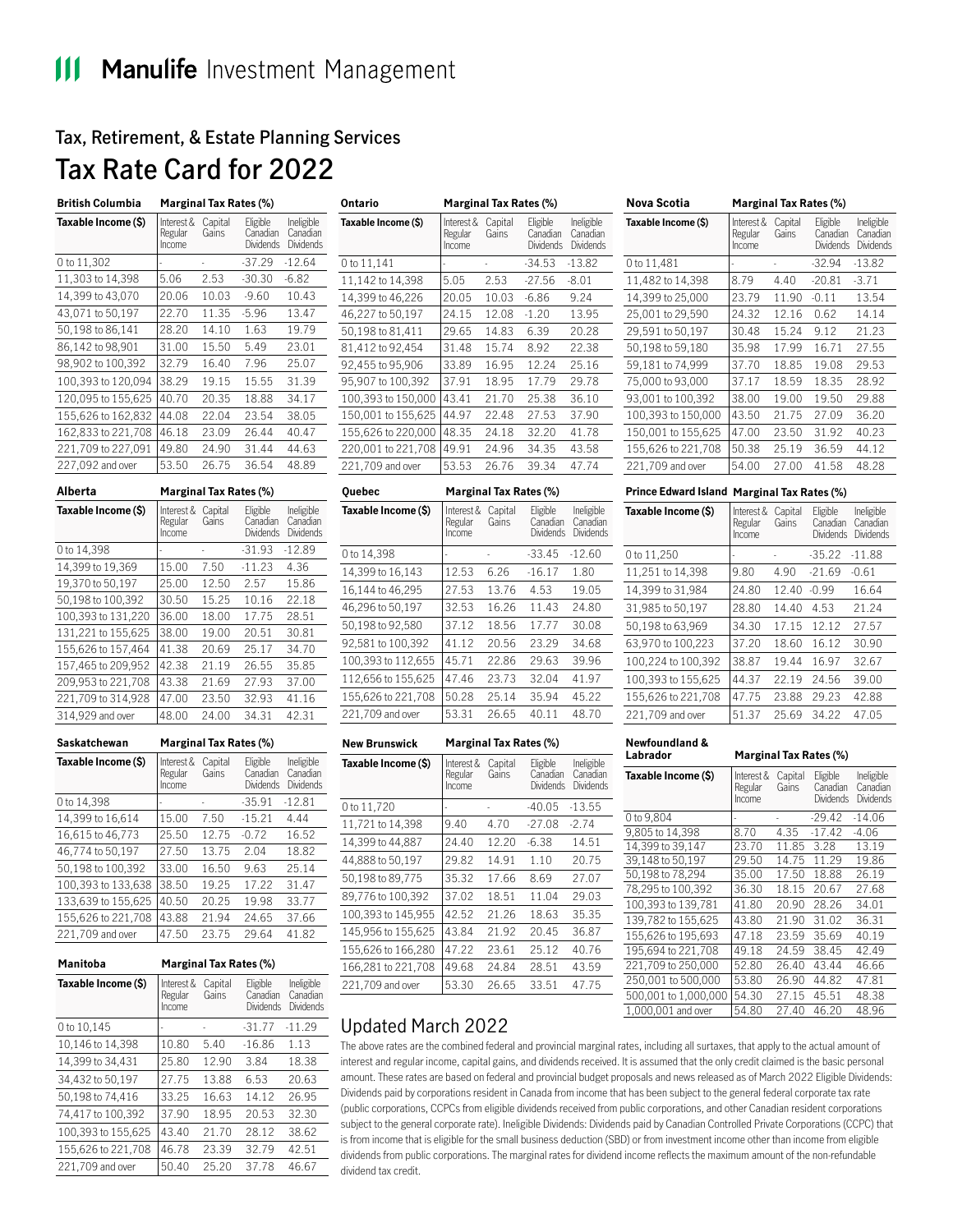# **Tax, Retirement, & Estate Planning Services**

# **Tax Rate Card for 2022**

| <b>British Columbia</b> | <b>Marginal Tax Rates (%)</b>   |                  |                                   |                                     |
|-------------------------|---------------------------------|------------------|-----------------------------------|-------------------------------------|
| Taxable Income (\$)     | Interest &<br>Regular<br>Income | Capital<br>Gains | Eligible<br>Canadian<br>Dividends | Ineligible<br>Canadian<br>Dividends |
| 0 to 11,302             |                                 |                  | $-37.29$                          | $-12.64$                            |
| 11,303 to 14,398        | 5.06                            | 2.53             | $-30.30$                          | -6.82                               |
| 14,399 to 43,070        | 20.06                           | 10.03            | $-9.60$                           | 10.43                               |
| 43,071 to 50,197        | 22.70                           | 11.35            | $-5.96$                           | 13.47                               |
| 50,198 to 86,141        | 28.20                           | 14.10            | 1.63                              | 19.79                               |
| 86,142 to 98,901        | 31.00                           | 15.50            | 5.49                              | 23.01                               |
| 98,902 to 100,392       | 32.79                           | 16.40            | 7.96                              | 25.07                               |
| 100,393 to 120,094      | 38.29                           | 19.15            | 15.55                             | 31.39                               |
| 120,095 to 155,625      | 40.70                           | 20.35            | 18.88                             | 34.17                               |
| 155,626 to 162,832      | 44.08                           | 22.04            | 23.54                             | 38.05                               |
| 162,833 to 221,708      | 46.18                           | 23.09            | 26.44                             | 40.47                               |
| 221,709 to 227,091      | 49.80                           | 24.90            | 31.44                             | 44.63                               |
| 227,092 and over        | 53.50                           | 26.75            | 36.54                             | 48.89                               |

| Alberta             |                                 | <b>Marginal Tax Rates (%)</b> |                                          |                                            |  |
|---------------------|---------------------------------|-------------------------------|------------------------------------------|--------------------------------------------|--|
| Taxable Income (\$) | Interest &<br>Regular<br>Income | Capital<br>Gains              | Eligible<br>Canadian<br><b>Dividends</b> | Ineligible<br>Canadian<br><b>Dividends</b> |  |
| 0 to 14,398         |                                 |                               | $-31.93$                                 | $-12.89$                                   |  |
| 14,399 to 19,369    | 15.00                           | 7.50                          | $-11.23$                                 | 4.36                                       |  |
| 19,370 to 50,197    | 25.00                           | 12.50                         | 2.57                                     | 15.86                                      |  |
| 50,198 to 100,392   | 30.50                           | 15.25                         | 10.16                                    | 22.18                                      |  |
| 100,393 to 131,220  | 36.00                           | 18.00                         | 17.75                                    | 28.51                                      |  |
| 131,221 to 155,625  | 38.00                           | 19.00                         | 20.51                                    | 30.81                                      |  |
| 155,626 to 157,464  | 41.38                           | 20.69                         | 25.17                                    | 34.70                                      |  |
| 157,465 to 209,952  | 42.38                           | 21.19                         | 26.55                                    | 35.85                                      |  |
| 209,953 to 221,708  | 43.38                           | 21.69                         | 27.93                                    | 37.00                                      |  |
| 221,709 to 314,928  | 47.00                           | 23.50                         | 32.93                                    | 41.16                                      |  |
| 314,929 and over    | 48.00                           | 24.00                         | 34.31                                    | 42.31                                      |  |

| Saskatchewan        | <b>Marginal Tax Rates (%)</b>   |                  |                                          |                                     |
|---------------------|---------------------------------|------------------|------------------------------------------|-------------------------------------|
| Taxable Income (\$) | Interest &<br>Regular<br>Income | Capital<br>Gains | Eligible<br>Canadian<br><b>Dividends</b> | Ineligible<br>Canadian<br>Dividends |
| 0 to 14,398         |                                 |                  | $-35.91$                                 | $-12.81$                            |
| 14,399 to 16,614    | 15.00                           | 7.50             | $-15.21$                                 | 4.44                                |
| 16,615 to 46,773    | 25.50                           | 12.75            | $-0.72$                                  | 16.52                               |
| 46,774 to 50,197    | 27.50                           | 13.75            | 2.04                                     | 18.82                               |
| 50,198 to 100,392   | 33.00                           | 16.50            | 9.63                                     | 25.14                               |
| 100,393 to 133,638  | 38.50                           | 19.25            | 17.22                                    | 31.47                               |
| 133,639 to 155,625  | 40.50                           | 20.25            | 19.98                                    | 33.77                               |
| 155,626 to 221,708  | 43.88                           | 21.94            | 24.65                                    | 37.66                               |
| 221,709 and over    | 47.50                           | 23.75            | 29.64                                    | 41.82                               |

| Manitoba            | <b>Marginal Tax Rates (%)</b>   |                  |                                          |                                            |
|---------------------|---------------------------------|------------------|------------------------------------------|--------------------------------------------|
| Taxable Income (\$) | Interest &<br>Regular<br>Income | Capital<br>Gains | Eligible<br>Canadian<br><b>Dividends</b> | Ineligible<br>Canadian<br><b>Dividends</b> |
| 0 to 10,145         |                                 |                  | $-31.77$                                 | $-11.29$                                   |
| 10,146 to 14,398    | 10.80                           | 5.40             | $-16.86$                                 | 1.13                                       |
| 14,399 to 34,431    | 25.80                           | 12.90            | 3.84                                     | 18.38                                      |
| 34,432 to 50,197    | 27.75                           | 13.88            | 6.53                                     | 20.63                                      |
| 50,198 to 74,416    | 33.25                           | 16.63            | 14.12                                    | 26.95                                      |
| 74,417 to 100.392   | 37.90                           | 18.95            | 20.53                                    | 32.30                                      |
| 100,393 to 155,625  | 43.40                           | 21.70            | 28.12                                    | 38.62                                      |
| 155,626 to 221,708  | 46.78                           | 23.39            | 32.79                                    | 42.51                                      |
| 221,709 and over    | 50.40                           | 25.20            | 37.78                                    | 46.67                                      |

| <b>Marginal Tax Rates (%)</b>   |                  |                                   |                                     |
|---------------------------------|------------------|-----------------------------------|-------------------------------------|
| Interest &<br>Regular<br>Income | Capital<br>Gains | Eligible<br>Canadian<br>Dividends | Ineligible<br>Canadian<br>Dividends |
|                                 |                  | $-34.53$                          | $-13.82$                            |
| 5.05                            | 2.53             | $-27.56$                          | $-8.01$                             |
| 20.05                           | 10.03            | $-6.86$                           | 9.24                                |
| 24.15                           | 12.08            | $-1.20$                           | 13.95                               |
| 29.65                           | 14.83            | 6.39                              | 20.28                               |
| 31.48                           | 15.74            | 8.92                              | 22.38                               |
| 33.89                           | 16.95            | 12.24                             | 25.16                               |
| 37.91                           | 18.95            | 17.79                             | 29.78                               |
| 43.41                           | 21.70            | 25.38                             | 36.10                               |
| 44.97                           | 22.48            | 27.53                             | 37.90                               |
| 48.35                           | 24.18            | 32.20                             | 41.78                               |
| 49.91                           | 24.96            | 34.35                             | 43.58                               |
| 53.53                           | 26.76            | 39.34                             | 47.74                               |
|                                 |                  |                                   |                                     |

| <b>Ouebec</b>       | <b>Marginal Tax Rates (%)</b>   |                  |                                          |                                     |  |
|---------------------|---------------------------------|------------------|------------------------------------------|-------------------------------------|--|
| Taxable Income (\$) | Interest &<br>Regular<br>Income | Capital<br>Gains | Eligible<br>Canadian<br><b>Dividends</b> | Ineligible<br>Canadian<br>Dividends |  |
| 0 to 14,398         |                                 |                  | $-33.45$                                 | $-12.60$                            |  |
| 14,399 to 16,143    | 12.53                           | 6.26             | $-16.17$                                 | 1.80                                |  |
| 16,144 to 46,295    | 27.53                           | 13.76            | 4.53                                     | 19.05                               |  |
| 46,296 to 50,197    | 32.53                           | 16.26            | 11.43                                    | 24.80                               |  |
| 50,198 to 92,580    | 37.12                           | 18.56            | 17.77                                    | 30.08                               |  |
| 92,581 to 100,392   | 41.12                           | 20.56            | 23.29                                    | 34.68                               |  |
| 100,393 to 112,655  | 45.71                           | 22.86            | 29.63                                    | 39.96                               |  |
| 112,656 to 155,625  | 47.46                           | 23.73            | 32.04                                    | 41.97                               |  |
| 155,626 to 221,708  | 50.28                           | 25.14            | 35.94                                    | 45.22                               |  |
| 221,709 and over    | 53.31                           | 26.65            | 40.11                                    | 48.70                               |  |

| <b>New Brunswick</b> | <b>Marginal Tax Rates (%)</b>   |                  |                                   |                                     |
|----------------------|---------------------------------|------------------|-----------------------------------|-------------------------------------|
| Taxable Income (\$)  | Interest &<br>Regular<br>Income | Capital<br>Gains | Eligible<br>Canadian<br>Dividends | Ineligible<br>Canadian<br>Dividends |
| 0 to 11,720          |                                 |                  | -40.05                            | $-13.55$                            |
| 11,721 to 14,398     | 9.40                            | 4.70             | $-27.08$                          | $-2.74$                             |
| 14,399 to 44,887     | 24.40                           | 12.20            | $-6.38$                           | 14.51                               |
| 44,888 to 50,197     | 29.82                           | 14.91            | 1.10                              | 20.75                               |
| 50,198 to 89,775     | 35.32                           | 17.66            | 8.69                              | 27.07                               |
| 89,776 to 100,392    | 37.02                           | 18.51            | 11.04                             | 29.03                               |
| 100,393 to 145,955   | 42.52                           | 21.26            | 18.63                             | 35.35                               |
| 145,956 to 155,625   | 43.84                           | 21.92            | 20.45                             | 36.87                               |
| 155,626 to 166,280   | 47.22                           | 23.61            | 25.12                             | 40.76                               |
| 166,281 to 221,708   | 49.68                           | 24.84            | 28.51                             | 43.59                               |
| 221,709 and over     | 53.30                           | 26.65            | 33.51                             | 47.75                               |

#### **Nova Scotia Marginal Tax Rates (%) Taxable Income (\$)** Regular Income Interest & Capital Gains Eligible **Canadian** Dividends Dividends Ineligible **Canadian**  0 to 11,481 - - -32.94 -13.82 11,482 to 14,398 8.79 4.40 -20.81 -3.71 14,399 to 25,000 23.79 11.90 -0.11 13.54 25,001 to 29,590 24.32 12.16 0.62 14.14 29,591 to 50,197 30.48 15.24 9.12 21.23 50,198 to 59,180 35.98 17.99 16.71 27.55 59,181 to 74,999 37.70 18.85 19.08 29.53 75,000 to 93,000 37.17 18.59 18.35 28.92 93,001 to 100,392 38.00 19.00 19.50 29.88 100,393 to 150,000 43.50 21.75 27.09 36.20 150,001 to 155,625 47.00 23.50 31.92 40.23 155,626 to 221,708 50.38 25.19 36.59 44.12 221,709 and over | 54.00 27.00 41.58 48.28

#### **Prince Edward Island Marginal Tax Rates (%)**

| Taxable Income (\$) | Interest &<br>Regular<br>Income | Capital<br>Gains | Eligible<br>Canadian<br><b>Dividends</b> | Ineligible<br>Canadian<br><b>Dividends</b> |
|---------------------|---------------------------------|------------------|------------------------------------------|--------------------------------------------|
| 0 to 11,250         |                                 |                  | $-35.22$                                 | $-11.88$                                   |
| 11,251 to 14,398    | 9.80                            | 4.90             | $-21.69$                                 | $-0.61$                                    |
| 14,399 to 31,984    | 24.80                           | 12.40            | $-0.99$                                  | 16.64                                      |
| 31,985 to 50,197    | 28.80                           | 14.40            | 4.53                                     | 21.24                                      |
| 50,198 to 63,969    | 34.30                           | 17.15            | 12.12                                    | 27.57                                      |
| 63,970 to 100,223   | 37.20                           | 18.60            | 16.12                                    | 30.90                                      |
| 100,224 to 100,392  | 38.87                           | 19.44            | 16.97                                    | 32.67                                      |
| 100,393 to 155,625  | 44.37                           | 22.19            | 24.56                                    | 39.00                                      |
| 155,626 to 221,708  | 47.75                           | 23.88            | 29.23                                    | 42.88                                      |
| 221,709 and over    | 51.37                           | 25.69            | 34.22                                    | 47.05                                      |
|                     |                                 |                  |                                          |                                            |

#### **Newfoundland &**

| Labrador             | <b>Marginal Tax Rates (%)</b>   |                  |                                   |                                     |  |
|----------------------|---------------------------------|------------------|-----------------------------------|-------------------------------------|--|
| Taxable Income (\$)  | Interest &<br>Regular<br>Income | Capital<br>Gains | Eligible<br>Canadian<br>Dividends | Ineligible<br>Canadian<br>Dividends |  |
| 0 to 9,804           |                                 |                  | $-29.42$                          | $-14.06$                            |  |
| 9,805 to 14,398      | 8.70                            | 4.35             | $-17.42$                          | -4.06                               |  |
| 14.399 to 39,147     | 23.70                           | 11.85            | 3.28                              | 13.19                               |  |
| 39,148 to 50,197     | 29.50                           | 14.75            | 11.29                             | 19.86                               |  |
| 50,198 to 78,294     | 35.00                           | 17.50            | 18.88                             | 26.19                               |  |
| 78,295 to 100,392    | 36.30                           | 18.15            | 20.67                             | 27.68                               |  |
| 100,393 to 139,781   | 41.80                           | 20.90            | 28.26                             | 34.01                               |  |
| 139,782 to 155,625   | 43.80                           | 21.90            | 31.02                             | 36.31                               |  |
| 155,626 to 195,693   | 47.18                           | 23.59            | 35.69                             | 40.19                               |  |
| 195,694 to 221,708   | 49.18                           | 24.59            | 38.45                             | 42.49                               |  |
| 221,709 to 250,000   | 52.80                           | 26.40            | 43.44                             | 46.66                               |  |
| 250,001 to 500,000   | 53.80                           | 26.90            | 44.82                             | 47.81                               |  |
| 500,001 to 1,000,000 | 54.30                           | 27.15            | 45.51                             | 48.38                               |  |
| 1,000,001 and over   | 54.80                           | 27.40            | 46.20                             | 48.96                               |  |

# Updated March 2022

The above rates are the combined federal and provincial marginal rates, including all surtaxes, that apply to the actual amount of interest and regular income, capital gains, and dividends received. It is assumed that the only credit claimed is the basic personal amount. These rates are based on federal and provincial budget proposals and news released as of March 2022 Eligible Dividends: Dividends paid by corporations resident in Canada from income that has been subject to the general federal corporate tax rate (public corporations, CCPCs from eligible dividends received from public corporations, and other Canadian resident corporations subject to the general corporate rate). Ineligible Dividends: Dividends paid by Canadian Controlled Private Corporations (CCPC) that is from income that is eligible for the small business deduction (SBD) or from investment income other than income from eligible dividends from public corporations. The marginal rates for dividend income reflects the maximum amount of the non-refundable dividend tax credit.